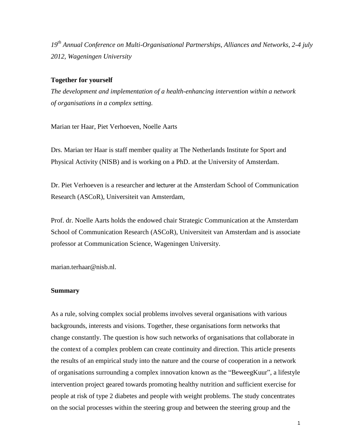*19th Annual Conference on Multi-Organisational Partnerships, Alliances and Networks, 2-4 july 2012, Wageningen University*

#### **Together for yourself**

*The development and implementation of a health-enhancing intervention within a network of organisations in a complex setting.*

Marian ter Haar, Piet Verhoeven, Noelle Aarts

Drs. Marian ter Haar is staff member quality at The Netherlands Institute for Sport and Physical Activity (NISB) and is working on a PhD. at the University of Amsterdam.

Dr. Piet Verhoeven is a researcher and lecturer at the Amsterdam School of Communication Research (ASCoR), Universiteit van Amsterdam,

Prof. dr. Noelle Aarts holds the endowed chair Strategic Communication at the Amsterdam School of Communication Research (ASCoR), Universiteit van Amsterdam and is associate professor at Communication Science, Wageningen University.

marian.terhaar@nisb.nl.

#### **Summary**

As a rule, solving complex social problems involves several organisations with various backgrounds, interests and visions. Together, these organisations form networks that change constantly. The question is how such networks of organisations that collaborate in the context of a complex problem can create continuity and direction. This article presents the results of an empirical study into the nature and the course of cooperation in a network of organisations surrounding a complex innovation known as the "BeweegKuur", a lifestyle intervention project geared towards promoting healthy nutrition and sufficient exercise for people at risk of type 2 diabetes and people with weight problems. The study concentrates on the social processes within the steering group and between the steering group and the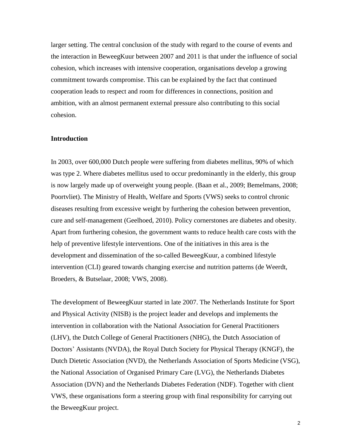larger setting. The central conclusion of the study with regard to the course of events and the interaction in BeweegKuur between 2007 and 2011 is that under the influence of social cohesion, which increases with intensive cooperation, organisations develop a growing commitment towards compromise. This can be explained by the fact that continued cooperation leads to respect and room for differences in connections, position and ambition, with an almost permanent external pressure also contributing to this social cohesion.

#### **Introduction**

In 2003, over 600,000 Dutch people were suffering from diabetes mellitus, 90% of which was type 2. Where diabetes mellitus used to occur predominantly in the elderly, this group is now largely made up of overweight young people. (Baan et al., 2009; Bemelmans, 2008; Poortvliet). The Ministry of Health, Welfare and Sports (VWS) seeks to control chronic diseases resulting from excessive weight by furthering the cohesion between prevention, cure and self-management (Geelhoed, 2010). Policy cornerstones are diabetes and obesity. Apart from furthering cohesion, the government wants to reduce health care costs with the help of preventive lifestyle interventions. One of the initiatives in this area is the development and dissemination of the so-called BeweegKuur, a combined lifestyle intervention (CLI) geared towards changing exercise and nutrition patterns (de Weerdt, Broeders, & Butselaar, 2008; VWS, 2008).

The development of BeweegKuur started in late 2007. The Netherlands Institute for Sport and Physical Activity (NISB) is the project leader and develops and implements the intervention in collaboration with the National Association for General Practitioners (LHV), the Dutch College of General Practitioners (NHG), the Dutch Association of Doctors' Assistants (NVDA), the Royal Dutch Society for Physical Therapy (KNGF), the Dutch Dietetic Association (NVD), the Netherlands Association of Sports Medicine (VSG), the National Association of Organised Primary Care (LVG), the Netherlands Diabetes Association (DVN) and the Netherlands Diabetes Federation (NDF). Together with client VWS, these organisations form a steering group with final responsibility for carrying out the BeweegKuur project.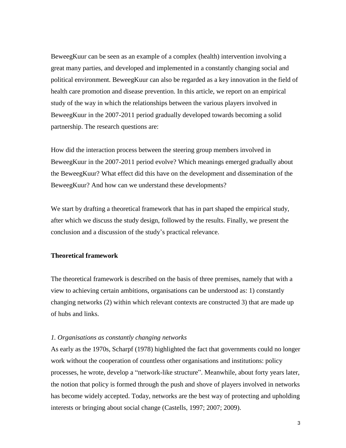BeweegKuur can be seen as an example of a complex (health) intervention involving a great many parties, and developed and implemented in a constantly changing social and political environment. BeweegKuur can also be regarded as a key innovation in the field of health care promotion and disease prevention. In this article, we report on an empirical study of the way in which the relationships between the various players involved in BeweegKuur in the 2007-2011 period gradually developed towards becoming a solid partnership. The research questions are:

How did the interaction process between the steering group members involved in BeweegKuur in the 2007-2011 period evolve? Which meanings emerged gradually about the BeweegKuur? What effect did this have on the development and dissemination of the BeweegKuur? And how can we understand these developments?

We start by drafting a theoretical framework that has in part shaped the empirical study, after which we discuss the study design, followed by the results. Finally, we present the conclusion and a discussion of the study's practical relevance.

### **Theoretical framework**

The theoretical framework is described on the basis of three premises, namely that with a view to achieving certain ambitions, organisations can be understood as: 1) constantly changing networks (2) within which relevant contexts are constructed 3) that are made up of hubs and links.

#### *1. Organisations as constantly changing networks*

As early as the 1970s, Scharpf (1978) highlighted the fact that governments could no longer work without the cooperation of countless other organisations and institutions: policy processes, he wrote, develop a "network-like structure". Meanwhile, about forty years later, the notion that policy is formed through the push and shove of players involved in networks has become widely accepted. Today, networks are the best way of protecting and upholding interests or bringing about social change (Castells, 1997; 2007; 2009).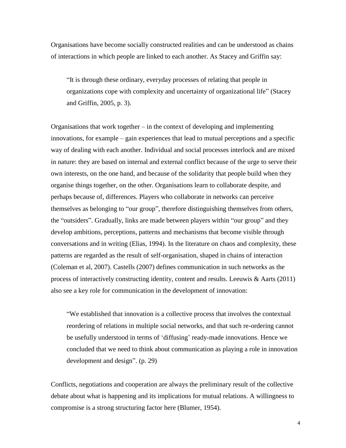Organisations have become socially constructed realities and can be understood as chains of interactions in which people are linked to each another. As Stacey and Griffin say:

"It is through these ordinary, everyday processes of relating that people in organizations cope with complexity and uncertainty of organizational life" (Stacey and Griffin, 2005, p. 3).

Organisations that work together – in the context of developing and implementing innovations, for example – gain experiences that lead to mutual perceptions and a specific way of dealing with each another. Individual and social processes interlock and are mixed in nature: they are based on internal and external conflict because of the urge to serve their own interests, on the one hand, and because of the solidarity that people build when they organise things together, on the other. Organisations learn to collaborate despite, and perhaps because of, differences. Players who collaborate in networks can perceive themselves as belonging to "our group", therefore distinguishing themselves from others, the "outsiders". Gradually, links are made between players within "our group" and they develop ambitions, perceptions, patterns and mechanisms that become visible through conversations and in writing (Elias, 1994). In the literature on chaos and complexity, these patterns are regarded as the result of self-organisation, shaped in chains of interaction (Coleman et al, 2007). Castells (2007) defines communication in such networks as the process of interactively constructing identity, content and results. Leeuwis & Aarts (2011) also see a key role for communication in the development of innovation:

"We established that innovation is a collective process that involves the contextual reordering of relations in multiple social networks, and that such re-ordering cannot be usefully understood in terms of 'diffusing' ready-made innovations. Hence we concluded that we need to think about communication as playing a role in innovation development and design". (p. 29)

Conflicts, negotiations and cooperation are always the preliminary result of the collective debate about what is happening and its implications for mutual relations. A willingness to compromise is a strong structuring factor here (Blumer, 1954).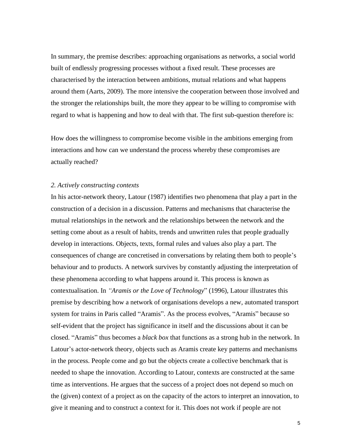In summary, the premise describes: approaching organisations as networks, a social world built of endlessly progressing processes without a fixed result. These processes are characterised by the interaction between ambitions, mutual relations and what happens around them (Aarts, 2009). The more intensive the cooperation between those involved and the stronger the relationships built, the more they appear to be willing to compromise with regard to what is happening and how to deal with that. The first sub-question therefore is:

How does the willingness to compromise become visible in the ambitions emerging from interactions and how can we understand the process whereby these compromises are actually reached?

#### *2. Actively constructing contexts*

In his actor-network theory, Latour (1987) identifies two phenomena that play a part in the construction of a decision in a discussion. Patterns and mechanisms that characterise the mutual relationships in the network and the relationships between the network and the setting come about as a result of habits, trends and unwritten rules that people gradually develop in interactions. Objects, texts, formal rules and values also play a part. The consequences of change are concretised in conversations by relating them both to people's behaviour and to products. A network survives by constantly adjusting the interpretation of these phenomena according to what happens around it. This process is known as contextualisation. In *"Aramis or the Love of Technology*" (1996), Latour illustrates this premise by describing how a network of organisations develops a new, automated transport system for trains in Paris called "Aramis". As the process evolves, "Aramis" because so self-evident that the project has significance in itself and the discussions about it can be closed. "Aramis" thus becomes a *black box* that functions as a strong hub in the network. In Latour's actor-network theory, objects such as Aramis create key patterns and mechanisms in the process. People come and go but the objects create a collective benchmark that is needed to shape the innovation. According to Latour, contexts are constructed at the same time as interventions. He argues that the success of a project does not depend so much on the (given) context of a project as on the capacity of the actors to interpret an innovation, to give it meaning and to construct a context for it. This does not work if people are not

5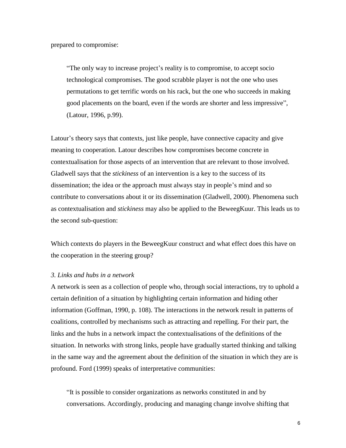prepared to compromise:

"The only way to increase project's reality is to compromise, to accept socio technological compromises. The good scrabble player is not the one who uses permutations to get terrific words on his rack, but the one who succeeds in making good placements on the board, even if the words are shorter and less impressive", (Latour, 1996, p.99).

Latour's theory says that contexts, just like people, have connective capacity and give meaning to cooperation. Latour describes how compromises become concrete in contextualisation for those aspects of an intervention that are relevant to those involved. Gladwell says that the *stickiness* of an intervention is a key to the success of its dissemination; the idea or the approach must always stay in people's mind and so contribute to conversations about it or its dissemination (Gladwell, 2000). Phenomena such as contextualisation and *stickiness* may also be applied to the BeweegKuur. This leads us to the second sub-question:

Which contexts do players in the BeweegKuur construct and what effect does this have on the cooperation in the steering group?

#### *3. Links and hubs in a network*

A network is seen as a collection of people who, through social interactions, try to uphold a certain definition of a situation by highlighting certain information and hiding other information (Goffman, 1990, p. 108). The interactions in the network result in patterns of coalitions, controlled by mechanisms such as attracting and repelling. For their part, the links and the hubs in a network impact the contextualisations of the definitions of the situation. In networks with strong links, people have gradually started thinking and talking in the same way and the agreement about the definition of the situation in which they are is profound. Ford (1999) speaks of interpretative communities:

"It is possible to consider organizations as networks constituted in and by conversations. Accordingly, producing and managing change involve shifting that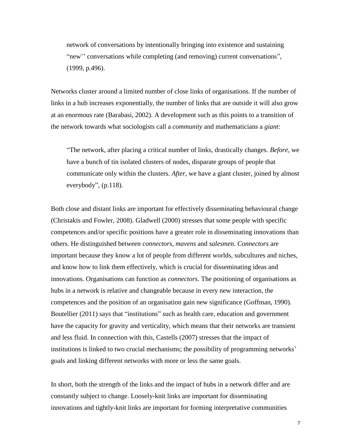network of conversations by intentionally bringing into existence and sustaining "new'' conversations while completing (and removing) current conversations", (1999, p.496).

Networks cluster around a limited number of close links of organisations. If the number of links in a hub increases exponentially, the number of links that are outside it will also grow at an enormous rate (Barabasi, 2002). A development such as this points to a transition of the network towards what sociologists call a *community* and mathematicians a *giant*:

"The network, after placing a critical number of links, drastically changes. *Before*, we have a bunch of tin isolated clusters of nodes, disparate groups of people that communicate only within the clusters. *After*, we have a giant cluster, joined by almost everybody", (p.118).

Both close and distant links are important for effectively disseminating behavioural change (Christakis and Fowler, 2008). Gladwell (2000) stresses that some people with specific competences and/or specific positions have a greater role in disseminating innovations than others. He distinguished between *connectors*, *mavens* and *salesme*n. *Connectors* are important because they know a lot of people from different worlds, subcultures and niches, and know how to link them effectively, which is crucial for disseminating ideas and innovations. Organisations can function as *connectors*. The positioning of organisations as hubs in a network is relative and changeable because in every new interaction, the competences and the position of an organisation gain new significance (Goffman, 1990). Boutellier (2011) says that "institutions" such as health care, education and government have the capacity for gravity and verticality, which means that their networks are transient and less fluid. In connection with this, Castells (2007) stresses that the impact of institutions is linked to two crucial mechanisms; the possibility of programming networks' goals and linking different networks with more or less the same goals.

In short, both the strength of the links and the impact of hubs in a network differ and are constantly subject to change. Loosely-knit links are important for disseminating innovations and tightly-knit links are important for forming interpretative communities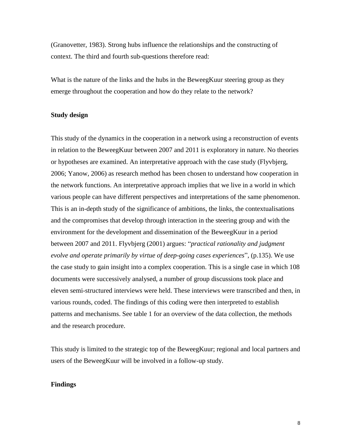(Granovetter, 1983). Strong hubs influence the relationships and the constructing of context. The third and fourth sub-questions therefore read:

What is the nature of the links and the hubs in the BeweegKuur steering group as they emerge throughout the cooperation and how do they relate to the network?

#### **Study design**

This study of the dynamics in the cooperation in a network using a reconstruction of events in relation to the BeweegKuur between 2007 and 2011 is exploratory in nature. No theories or hypotheses are examined. An interpretative approach with the case study (Flyvbjerg, 2006; Yanow, 2006) as research method has been chosen to understand how cooperation in the network functions. An interpretative approach implies that we live in a world in which various people can have different perspectives and interpretations of the same phenomenon. This is an in-depth study of the significance of ambitions, the links, the contextualisations and the compromises that develop through interaction in the steering group and with the environment for the development and dissemination of the BeweegKuur in a period between 2007 and 2011. Flyvbjerg (2001) argues: "*practical rationality and judgment evolve and operate primarily by virtue of deep-going cases experiences*", (p.135). We use the case study to gain insight into a complex cooperation. This is a single case in which 108 documents were successively analysed, a number of group discussions took place and eleven semi-structured interviews were held. These interviews were transcribed and then, in various rounds, coded. The findings of this coding were then interpreted to establish patterns and mechanisms. See table 1 for an overview of the data collection, the methods and the research procedure.

This study is limited to the strategic top of the BeweegKuur; regional and local partners and users of the BeweegKuur will be involved in a follow-up study.

## **Findings**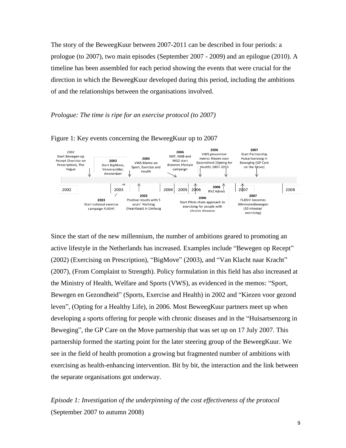The story of the BeweegKuur between 2007-2011 can be described in four periods: a prologue (to 2007), two main episodes (September 2007 - 2009) and an epilogue (2010). A timeline has been assembled for each period showing the events that were crucial for the direction in which the BeweegKuur developed during this period, including the ambitions of and the relationships between the organisations involved.

#### *Prologue: The time is ripe for an exercise protocol (to 2007)*



Figure 1: Key events concerning the BeweegKuur up to 2007

Since the start of the new millennium, the number of ambitions geared to promoting an active lifestyle in the Netherlands has increased. Examples include "Bewegen op Recept" (2002) (Exercising on Prescription), "BigMove" (2003), and "Van Klacht naar Kracht" (2007), (From Complaint to Strength). Policy formulation in this field has also increased at the Ministry of Health, Welfare and Sports (VWS), as evidenced in the memos: "Sport, Bewegen en Gezondheid" (Sports, Exercise and Health) in 2002 and "Kiezen voor gezond leven", (Opting for a Healthy Life), in 2006. Most BeweegKuur partners meet up when developing a sports offering for people with chronic diseases and in the "Huisartsenzorg in Beweging", the GP Care on the Move partnership that was set up on 17 July 2007. This partnership formed the starting point for the later steering group of the BeweegKuur. We see in the field of health promotion a growing but fragmented number of ambitions with exercising as health-enhancing intervention. Bit by bit, the interaction and the link between the separate organisations got underway.

*Episode 1: Investigation of the underpinning of the cost effectiveness of the protocol* (September 2007 to autumn 2008)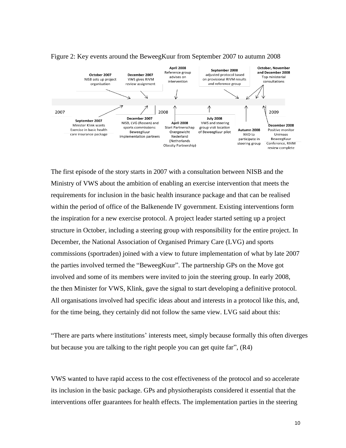

#### Figure 2: Key events around the BeweegKuur from September 2007 to autumn 2008

The first episode of the story starts in 2007 with a consultation between NISB and the Ministry of VWS about the ambition of enabling an exercise intervention that meets the requirements for inclusion in the basic health insurance package and that can be realised within the period of office of the Balkenende IV government. Existing interventions form the inspiration for a new exercise protocol. A project leader started setting up a project structure in October, including a steering group with responsibility for the entire project. In December, the National Association of Organised Primary Care (LVG) and sports commissions (sportraden) joined with a view to future implementation of what by late 2007 the parties involved termed the "BeweegKuur". The partnership GPs on the Move got involved and some of its members were invited to join the steering group. In early 2008, the then Minister for VWS, Klink, gave the signal to start developing a definitive protocol. All organisations involved had specific ideas about and interests in a protocol like this, and, for the time being, they certainly did not follow the same view. LVG said about this:

"There are parts where institutions' interests meet, simply because formally this often diverges but because you are talking to the right people you can get quite far", (R4)

VWS wanted to have rapid access to the cost effectiveness of the protocol and so accelerate its inclusion in the basic package. GPs and physiotherapists considered it essential that the interventions offer guarantees for health effects. The implementation parties in the steering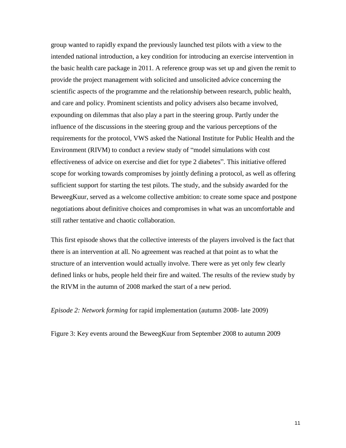group wanted to rapidly expand the previously launched test pilots with a view to the intended national introduction, a key condition for introducing an exercise intervention in the basic health care package in 2011. A reference group was set up and given the remit to provide the project management with solicited and unsolicited advice concerning the scientific aspects of the programme and the relationship between research, public health, and care and policy. Prominent scientists and policy advisers also became involved, expounding on dilemmas that also play a part in the steering group. Partly under the influence of the discussions in the steering group and the various perceptions of the requirements for the protocol, VWS asked the National Institute for Public Health and the Environment (RIVM) to conduct a review study of "model simulations with cost effectiveness of advice on exercise and diet for type 2 diabetes". This initiative offered scope for working towards compromises by jointly defining a protocol, as well as offering sufficient support for starting the test pilots. The study, and the subsidy awarded for the BeweegKuur, served as a welcome collective ambition: to create some space and postpone negotiations about definitive choices and compromises in what was an uncomfortable and still rather tentative and chaotic collaboration.

This first episode shows that the collective interests of the players involved is the fact that there is an intervention at all. No agreement was reached at that point as to what the structure of an intervention would actually involve. There were as yet only few clearly defined links or hubs, people held their fire and waited. The results of the review study by the RIVM in the autumn of 2008 marked the start of a new period.

*Episode 2: Network forming* for rapid implementation (autumn 2008- late 2009)

Figure 3: Key events around the BeweegKuur from September 2008 to autumn 2009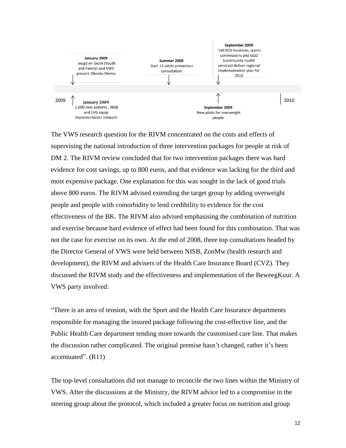

The VWS research question for the RIVM concentrated on the costs and effects of supervising the national introduction of three intervention packages for people at risk of DM 2. The RIVM review concluded that for two intervention packages there was hard evidence for cost savings, up to 800 euros, and that evidence was lacking for the third and most expensive package. One explanation for this was sought in the lack of good trials above 800 euros. The RIVM advised extending the target group by adding overweight people and people with comorbidity to lend credibility to evidence for the cost effectiveness of the BK. The RIVM also advised emphasising the combination of nutrition and exercise because hard evidence of effect had been found for this combination. That was not the case for exercise on its own. At the end of 2008, three top consultations headed by the Director General of VWS were held between NISB, ZonMw (health research and development), the RIVM and advisers of the Health Care Insurance Board (CVZ). They discussed the RIVM study and the effectiveness and implementation of the BeweegKuur. A VWS party involved:

"There is an area of tension, with the Sport and the Health Care Insurance departments responsible for managing the insured package following the cost-effective line, and the Public Health Care department tending more towards the customised care line. That makes the discussion rather complicated. The original premise hasn't changed, rather it's been accentuated". (R11)

The top-level consultations did not manage to reconcile the two lines within the Ministry of VWS. After the discussions at the Ministry, the RIVM advice led to a compromise in the steering group about the protocol, which included a greater focus on nutrition and group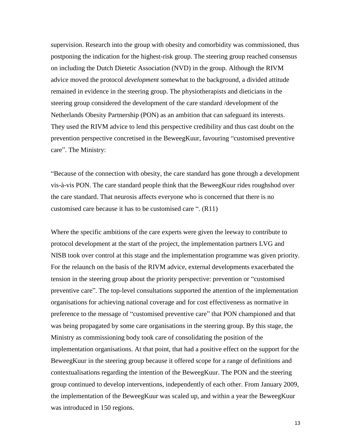supervision. Research into the group with obesity and comorbidity was commissioned, thus postponing the indication for the highest-risk group. The steering group reached consensus on including the Dutch Dietetic Association (NVD) in the group. Although the RIVM advice moved the protocol *development* somewhat to the background, a divided attitude remained in evidence in the steering group. The physiotherapists and dieticians in the steering group considered the development of the care standard /development of the Netherlands Obesity Partnership (PON) as an ambition that can safeguard its interests. They used the RIVM advice to lend this perspective credibility and thus cast doubt on the prevention perspective concretised in the BeweegKuur, favouring "customised preventive care". The Ministry:

"Because of the connection with obesity, the care standard has gone through a development vis-à-vis PON. The care standard people think that the BeweegKuur rides roughshod over the care standard. That neurosis affects everyone who is concerned that there is no customised care because it has to be customised care ". (R11)

Where the specific ambitions of the care experts were given the leeway to contribute to protocol development at the start of the project, the implementation partners LVG and NISB took over control at this stage and the implementation programme was given priority. For the relaunch on the basis of the RIVM advice, external developments exacerbated the tension in the steering group about the priority perspective: prevention or "customised preventive care". The top-level consultations supported the attention of the implementation organisations for achieving national coverage and for cost effectiveness as normative in preference to the message of "customised preventive care" that PON championed and that was being propagated by some care organisations in the steering group. By this stage, the Ministry as commissioning body took care of consolidating the position of the implementation organisations. At that point, that had a positive effect on the support for the BeweegKuur in the steering group because it offered scope for a range of definitions and contextualisations regarding the intention of the BeweegKuur. The PON and the steering group continued to develop interventions, independently of each other. From January 2009, the implementation of the BeweegKuur was scaled up, and within a year the BeweegKuur was introduced in 150 regions.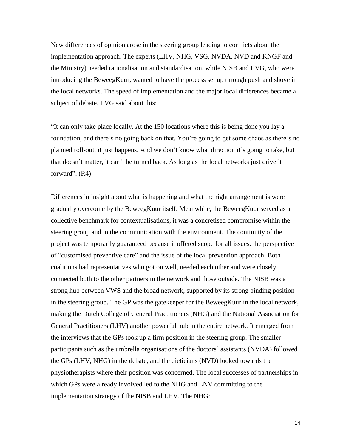New differences of opinion arose in the steering group leading to conflicts about the implementation approach. The experts (LHV, NHG, VSG, NVDA, NVD and KNGF and the Ministry) needed rationalisation and standardisation, while NISB and LVG, who were introducing the BeweegKuur, wanted to have the process set up through push and shove in the local networks. The speed of implementation and the major local differences became a subject of debate. LVG said about this:

"It can only take place locally. At the 150 locations where this is being done you lay a foundation, and there's no going back on that. You're going to get some chaos as there's no planned roll-out, it just happens. And we don't know what direction it's going to take, but that doesn't matter, it can't be turned back. As long as the local networks just drive it forward". (R4)

Differences in insight about what is happening and what the right arrangement is were gradually overcome by the BeweegKuur itself. Meanwhile, the BeweegKuur served as a collective benchmark for contextualisations, it was a concretised compromise within the steering group and in the communication with the environment. The continuity of the project was temporarily guaranteed because it offered scope for all issues: the perspective of "customised preventive care" and the issue of the local prevention approach. Both coalitions had representatives who got on well, needed each other and were closely connected both to the other partners in the network and those outside. The NISB was a strong hub between VWS and the broad network, supported by its strong binding position in the steering group. The GP was the gatekeeper for the BeweegKuur in the local network, making the Dutch College of General Practitioners (NHG) and the National Association for General Practitioners (LHV) another powerful hub in the entire network. It emerged from the interviews that the GPs took up a firm position in the steering group. The smaller participants such as the umbrella organisations of the doctors' assistants (NVDA) followed the GPs (LHV, NHG) in the debate, and the dieticians (NVD) looked towards the physiotherapists where their position was concerned. The local successes of partnerships in which GPs were already involved led to the NHG and LNV committing to the implementation strategy of the NISB and LHV. The NHG: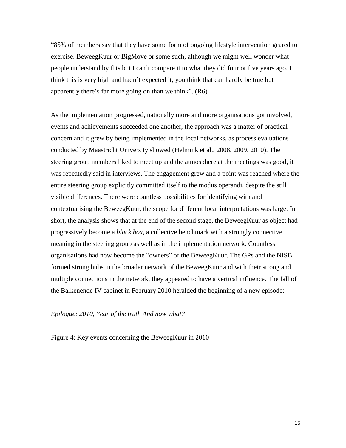"85% of members say that they have some form of ongoing lifestyle intervention geared to exercise. BeweegKuur or BigMove or some such, although we might well wonder what people understand by this but I can't compare it to what they did four or five years ago. I think this is very high and hadn't expected it, you think that can hardly be true but apparently there's far more going on than we think". (R6)

As the implementation progressed, nationally more and more organisations got involved, events and achievements succeeded one another, the approach was a matter of practical concern and it grew by being implemented in the local networks, as process evaluations conducted by Maastricht University showed (Helmink et al., 2008, 2009, 2010). The steering group members liked to meet up and the atmosphere at the meetings was good, it was repeatedly said in interviews. The engagement grew and a point was reached where the entire steering group explicitly committed itself to the modus operandi, despite the still visible differences. There were countless possibilities for identifying with and contextualising the BeweegKuur, the scope for different local interpretations was large. In short, the analysis shows that at the end of the second stage, the BeweegKuur as object had progressively become a *black box*, a collective benchmark with a strongly connective meaning in the steering group as well as in the implementation network. Countless organisations had now become the "owners" of the BeweegKuur. The GPs and the NISB formed strong hubs in the broader network of the BeweegKuur and with their strong and multiple connections in the network, they appeared to have a vertical influence. The fall of the Balkenende IV cabinet in February 2010 heralded the beginning of a new episode:

## *Epilogue: 2010, Year of the truth And now what?*

Figure 4: Key events concerning the BeweegKuur in 2010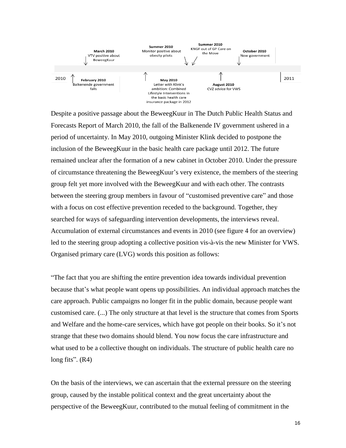

Despite a positive passage about the BeweegKuur in The Dutch Public Health Status and Forecasts Report of March 2010, the fall of the Balkenende IV government ushered in a period of uncertainty. In May 2010, outgoing Minister Klink decided to postpone the inclusion of the BeweegKuur in the basic health care package until 2012. The future remained unclear after the formation of a new cabinet in October 2010. Under the pressure of circumstance threatening the BeweegKuur's very existence, the members of the steering group felt yet more involved with the BeweegKuur and with each other. The contrasts between the steering group members in favour of "customised preventive care" and those with a focus on cost effective prevention receded to the background. Together, they searched for ways of safeguarding intervention developments, the interviews reveal. Accumulation of external circumstances and events in 2010 (see figure 4 for an overview) led to the steering group adopting a collective position vis-à-vis the new Minister for VWS. Organised primary care (LVG) words this position as follows:

"The fact that you are shifting the entire prevention idea towards individual prevention because that's what people want opens up possibilities. An individual approach matches the care approach. Public campaigns no longer fit in the public domain, because people want customised care. (...) The only structure at that level is the structure that comes from Sports and Welfare and the home-care services, which have got people on their books. So it's not strange that these two domains should blend. You now focus the care infrastructure and what used to be a collective thought on individuals. The structure of public health care no long fits".  $(R4)$ 

On the basis of the interviews, we can ascertain that the external pressure on the steering group, caused by the instable political context and the great uncertainty about the perspective of the BeweegKuur, contributed to the mutual feeling of commitment in the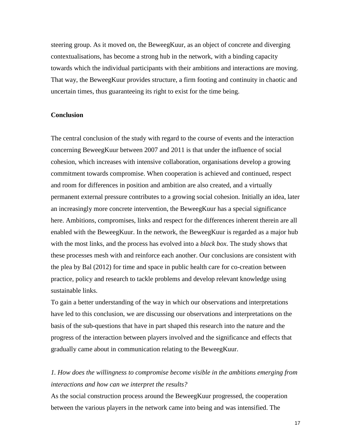steering group. As it moved on, the BeweegKuur, as an object of concrete and diverging contextualisations, has become a strong hub in the network, with a binding capacity towards which the individual participants with their ambitions and interactions are moving. That way, the BeweegKuur provides structure, a firm footing and continuity in chaotic and uncertain times, thus guaranteeing its right to exist for the time being.

#### **Conclusion**

The central conclusion of the study with regard to the course of events and the interaction concerning BeweegKuur between 2007 and 2011 is that under the influence of social cohesion, which increases with intensive collaboration, organisations develop a growing commitment towards compromise. When cooperation is achieved and continued, respect and room for differences in position and ambition are also created, and a virtually permanent external pressure contributes to a growing social cohesion. Initially an idea, later an increasingly more concrete intervention, the BeweegKuur has a special significance here. Ambitions, compromises, links and respect for the differences inherent therein are all enabled with the BeweegKuur. In the network, the BeweegKuur is regarded as a major hub with the most links, and the process has evolved into a *black box*. The study shows that these processes mesh with and reinforce each another. Our conclusions are consistent with the plea by Bal (2012) for time and space in public health care for co-creation between practice, policy and research to tackle problems and develop relevant knowledge using sustainable links.

To gain a better understanding of the way in which our observations and interpretations have led to this conclusion, we are discussing our observations and interpretations on the basis of the sub-questions that have in part shaped this research into the nature and the progress of the interaction between players involved and the significance and effects that gradually came about in communication relating to the BeweegKuur.

## *1. How does the willingness to compromise become visible in the ambitions emerging from interactions and how can we interpret the results?*

As the social construction process around the BeweegKuur progressed, the cooperation between the various players in the network came into being and was intensified. The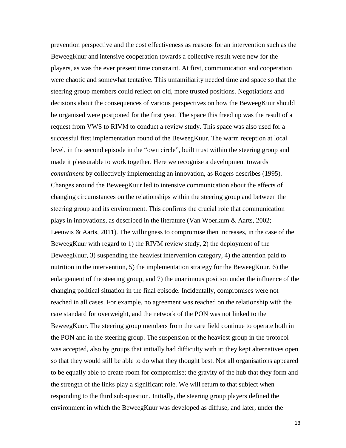prevention perspective and the cost effectiveness as reasons for an intervention such as the BeweegKuur and intensive cooperation towards a collective result were new for the players, as was the ever present time constraint. At first, communication and cooperation were chaotic and somewhat tentative. This unfamiliarity needed time and space so that the steering group members could reflect on old, more trusted positions. Negotiations and decisions about the consequences of various perspectives on how the BeweegKuur should be organised were postponed for the first year. The space this freed up was the result of a request from VWS to RIVM to conduct a review study. This space was also used for a successful first implementation round of the BeweegKuur. The warm reception at local level, in the second episode in the "own circle", built trust within the steering group and made it pleasurable to work together. Here we recognise a development towards *commitment* by collectively implementing an innovation, as Rogers describes (1995). Changes around the BeweegKuur led to intensive communication about the effects of changing circumstances on the relationships within the steering group and between the steering group and its environment. This confirms the crucial role that communication plays in innovations, as described in the literature (Van Woerkum & Aarts, 2002; Leeuwis & Aarts, 2011). The willingness to compromise then increases, in the case of the BeweegKuur with regard to 1) the RIVM review study, 2) the deployment of the BeweegKuur, 3) suspending the heaviest intervention category, 4) the attention paid to nutrition in the intervention, 5) the implementation strategy for the BeweegKuur, 6) the enlargement of the steering group, and 7) the unanimous position under the influence of the changing political situation in the final episode. Incidentally, compromises were not reached in all cases. For example, no agreement was reached on the relationship with the care standard for overweight, and the network of the PON was not linked to the BeweegKuur. The steering group members from the care field continue to operate both in the PON and in the steering group. The suspension of the heaviest group in the protocol was accepted, also by groups that initially had difficulty with it; they kept alternatives open so that they would still be able to do what they thought best. Not all organisations appeared to be equally able to create room for compromise; the gravity of the hub that they form and the strength of the links play a significant role. We will return to that subject when responding to the third sub-question. Initially, the steering group players defined the environment in which the BeweegKuur was developed as diffuse, and later, under the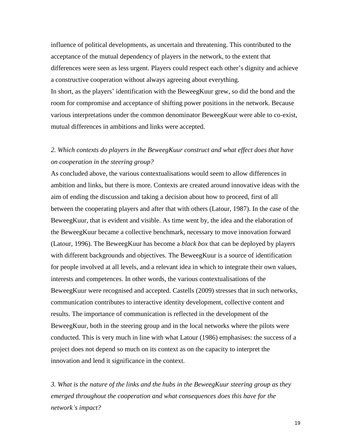influence of political developments, as uncertain and threatening. This contributed to the acceptance of the mutual dependency of players in the network, to the extent that differences were seen as less urgent. Players could respect each other's dignity and achieve a constructive cooperation without always agreeing about everything.

In short, as the players' identification with the BeweegKuur grew, so did the bond and the room for compromise and acceptance of shifting power positions in the network. Because various interpretations under the common denominator BeweegKuur were able to co-exist, mutual differences in ambitions and links were accepted.

# *2. Which contexts do players in the BeweegKuur construct and what effect does that have on cooperation in the steering group?*

As concluded above, the various contextualisations would seem to allow differences in ambition and links, but there is more. Contexts are created around innovative ideas with the aim of ending the discussion and taking a decision about how to proceed, first of all between the cooperating players and after that with others (Latour, 1987). In the case of the BeweegKuur, that is evident and visible. As time went by, the idea and the elaboration of the BeweegKuur became a collective benchmark, necessary to move innovation forward (Latour, 1996). The BeweegKuur has become a *black box* that can be deployed by players with different backgrounds and objectives. The BeweegKuur is a source of identification for people involved at all levels, and a relevant idea in which to integrate their own values, interests and competences. In other words, the various contextualisations of the BeweegKuur were recognised and accepted. Castells (2009) stresses that in such networks, communication contributes to interactive identity development, collective content and results. The importance of communication is reflected in the development of the BeweegKuur, both in the steering group and in the local networks where the pilots were conducted. This is very much in line with what Latour (1986) emphasises: the success of a project does not depend so much on its context as on the capacity to interpret the innovation and lend it significance in the context.

*3. What is the nature of the links and the hubs in the BeweegKuur steering group as they emerged throughout the cooperation and what consequences does this have for the network's impact?*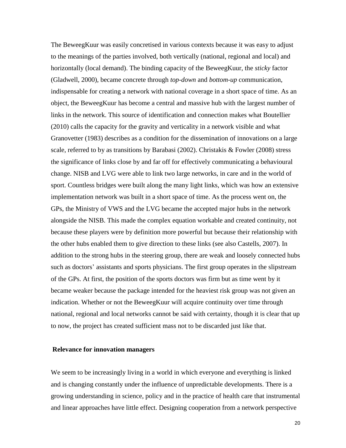The BeweegKuur was easily concretised in various contexts because it was easy to adjust to the meanings of the parties involved, both vertically (national, regional and local) and horizontally (local demand). The binding capacity of the BeweegKuur, the *sticky* factor (Gladwell, 2000), became concrete through *top-down* and *bottom-up* communication, indispensable for creating a network with national coverage in a short space of time. As an object, the BeweegKuur has become a central and massive hub with the largest number of links in the network. This source of identification and connection makes what Boutellier (2010) calls the capacity for the gravity and verticality in a network visible and what Granovetter (1983) describes as a condition for the dissemination of innovations on a large scale, referred to by as transitions by Barabasi (2002). Christakis & Fowler (2008) stress the significance of links close by and far off for effectively communicating a behavioural change. NISB and LVG were able to link two large networks, in care and in the world of sport. Countless bridges were built along the many light links, which was how an extensive implementation network was built in a short space of time. As the process went on, the GPs, the Ministry of VWS and the LVG became the accepted major hubs in the network alongside the NISB. This made the complex equation workable and created continuity, not because these players were by definition more powerful but because their relationship with the other hubs enabled them to give direction to these links (see also Castells, 2007). In addition to the strong hubs in the steering group, there are weak and loosely connected hubs such as doctors' assistants and sports physicians. The first group operates in the slipstream of the GPs. At first, the position of the sports doctors was firm but as time went by it became weaker because the package intended for the heaviest risk group was not given an indication. Whether or not the BeweegKuur will acquire continuity over time through national, regional and local networks cannot be said with certainty, though it is clear that up to now, the project has created sufficient mass not to be discarded just like that.

## **Relevance for innovation managers**

We seem to be increasingly living in a world in which everyone and everything is linked and is changing constantly under the influence of unpredictable developments. There is a growing understanding in science, policy and in the practice of health care that instrumental and linear approaches have little effect. Designing cooperation from a network perspective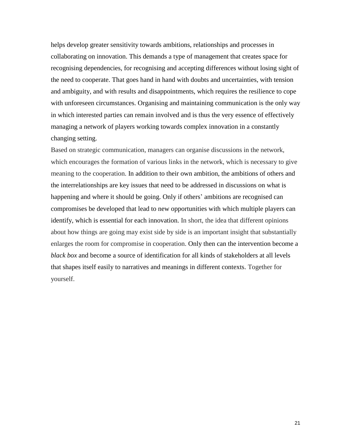helps develop greater sensitivity towards ambitions, relationships and processes in collaborating on innovation. This demands a type of management that creates space for recognising dependencies, for recognising and accepting differences without losing sight of the need to cooperate. That goes hand in hand with doubts and uncertainties, with tension and ambiguity, and with results and disappointments, which requires the resilience to cope with unforeseen circumstances. Organising and maintaining communication is the only way in which interested parties can remain involved and is thus the very essence of effectively managing a network of players working towards complex innovation in a constantly changing setting.

Based on strategic communication, managers can organise discussions in the network, which encourages the formation of various links in the network, which is necessary to give meaning to the cooperation. In addition to their own ambition, the ambitions of others and the interrelationships are key issues that need to be addressed in discussions on what is happening and where it should be going. Only if others' ambitions are recognised can compromises be developed that lead to new opportunities with which multiple players can identify, which is essential for each innovation. In short, the idea that different opinions about how things are going may exist side by side is an important insight that substantially enlarges the room for compromise in cooperation. Only then can the intervention become a *black box* and become a source of identification for all kinds of stakeholders at all levels that shapes itself easily to narratives and meanings in different contexts. Together for yourself.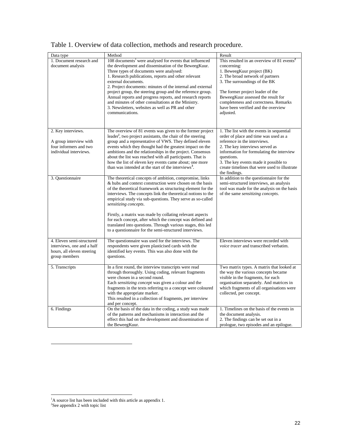| Data type<br>1. Document research and<br>document analysis                                             | Method<br>108 documents <sup>1</sup> were analysed for events that influenced<br>the development and dissemination of the BeweegKuur.<br>Three types of documents were analysed:<br>1. Research publications, reports and other relevant<br>external documents.<br>2. Project documents: minutes of the internal and external<br>project group, the steering group and the reference group.<br>Annual reports and progress reports, and research reports<br>and minutes of other consultations at the Ministry.<br>3. Newsletters, websites as well as PR and other<br>communications.      | Result<br>This resulted in an overview of $81$ events <sup>2</sup><br>concerning:<br>1. BeweegKuur project (BK)<br>2. The broad network of partners<br>3. The surroundings of the BK<br>The former project leader of the<br>BeweegKuur assessed the result for<br>completeness and correctness. Remarks<br>have been verified and the overview<br>adjusted. |
|--------------------------------------------------------------------------------------------------------|---------------------------------------------------------------------------------------------------------------------------------------------------------------------------------------------------------------------------------------------------------------------------------------------------------------------------------------------------------------------------------------------------------------------------------------------------------------------------------------------------------------------------------------------------------------------------------------------|-------------------------------------------------------------------------------------------------------------------------------------------------------------------------------------------------------------------------------------------------------------------------------------------------------------------------------------------------------------|
|                                                                                                        |                                                                                                                                                                                                                                                                                                                                                                                                                                                                                                                                                                                             |                                                                                                                                                                                                                                                                                                                                                             |
| 2. Key interviews.<br>A group interview with<br>four informers and two<br>individual interviews.       | The overview of 81 events was given to the former project<br>leader <sup>i</sup> , two project assistants, the chair of the steering<br>group and a representative of VWS. They defined eleven<br>events which they thought had the greatest impact on the<br>ambitions and the relationships in the project. Consensus<br>about the list was reached with all participants. That is<br>how the list of eleven key events came about; one more<br>than was intended at the start of the interviews <sup>3</sup> .                                                                           | 1. The list with the events in sequential<br>order of place and time was used as a<br>reference in the interviews.<br>2. The key interviews served as<br>information for formulating the interview<br>questions.<br>3. The key events made it possible to<br>create timelines that were used to illustrate<br>the findings.                                 |
| 3. Ouestionnaire                                                                                       | The theoretical concepts of ambition, compromise, links<br>& hubs and context construction were chosen on the basis<br>of the theoretical framework as structuring element for the<br>interviews. The concepts link the theoretical notions to the<br>empirical study via sub-questions. They serve as so-called<br>sensitizing concepts.<br>Firstly, a matrix was made by collating relevant aspects<br>for each concept, after which the concept was defined and<br>translated into questions. Through various stages, this led<br>to a questionnaire for the semi-structured interviews. | In addition to the questionnaire for the<br>semi-structured interviews, an analysis<br>tool was made for the analysis on the basis<br>of the same sensitizing concepts.                                                                                                                                                                                     |
| 4. Eleven semi-structured<br>interviews, one and a half<br>hours, all eleven steering<br>group members | The questionnaire was used for the interviews. The<br>respondents were given plasticised cards with the<br>identified key events. This was also done with the<br>questions.                                                                                                                                                                                                                                                                                                                                                                                                                 | Eleven interviews were recorded with<br>voice tracer and transcribed verbatim.                                                                                                                                                                                                                                                                              |
| 5. Transcripts                                                                                         | In a first round, the interview transcripts were read<br>through thoroughly. Using coding, relevant fragments<br>were chosen in a second round.<br>Each sensitizing concept was given a colour and the<br>fragments in the texts referring to a concept were coloured<br>with the appropriate marker.<br>This resulted in a collection of fragments, per interview<br>and per concept.                                                                                                                                                                                                      | Two matrix types. A matrix that looked at<br>the way the various concepts became<br>visible in the fragments, for each<br>organisation separately. And matrices in<br>which fragments of all organisations were<br>collected, per concept.                                                                                                                  |
| 6. Findings                                                                                            | On the basis of the data in the coding, a study was made<br>of the patterns and mechanisms in interaction and the<br>effect this had on the development and dissemination of<br>the BeweegKuur.                                                                                                                                                                                                                                                                                                                                                                                             | 1. Timelines on the basis of the events in<br>the document analysis.<br>2. The findings can be set out in a<br>prologue, two episodes and an epilogue.                                                                                                                                                                                                      |

Table 1. Overview of data collection, methods and research procedure.

 $\overline{a}$ 

 $\overline{a}$ 

<sup>&</sup>lt;sup>1</sup>A source list has been included with this article as appendix 1.<br><sup>2</sup>See appendix 2 with topic list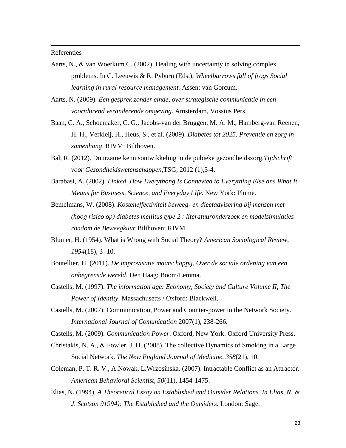#### Referenties

 $\overline{a}$ 

- Aarts, N., & van Woerkum.C. (2002). Dealing with uncertainty in solving complex problems. In C. Leeuwis & R. Pyburn (Eds.), *Wheelbarrows full of frogs Social learning in rural resource management.* Assen: van Gorcum.
- Aarts, N. (2009). *Een gesprek zonder einde, over strategische communicatie in een voortdurend veranderende omgeving*. Amsterdam, Vossius Pers.
- Baan, C. A., Schoemaker, C. G., Jacobs-van der Bruggen, M. A. M., Hamberg-van Reenen, H. H., Verkleij, H., Heus, S., et al. (2009). *Diabetes tot 2025. Preventie en zorg in samenhang*. RIVM: Bilthoven.
- Bal, R. (2012). Duurzame kennisontwikkeling in de pubieke gezondheidszorg.*Tijdschrift voor Gezondheidswetenschappen,*TSG*,* 2012 (1),3-4.
- Barabasi, A. (2002). *Linked, How Everythong Is Connevted to Everything Else ans What It Means for Business, Science, and Everyday LIfe*. New York: Plume.
- Bemelmans, W. (2008). *Kosteneffectiviteit beweeg- en dieetadvisering bij mensen met (hoog risico op) diabetes mellitus type 2 : literatuuronderzoek en modelsimulaties rondom de Beweegkuur* Bilthoven: RIVM..
- Blumer, H. (1954). What is Wrong with Social Theory? *American Sociological Review, 1954*(18), 3 -10.
- Boutellier, H. (2011). *De improvisatie maatschappij, Over de sociale ordening van een onbegrensde wereld*. Den Haag: Boom/Lemma.
- Castells, M. (1997). *The information age: Economy, Society and Culture Volume II, The Power of Identity*. Massachusetts / Oxford: Blackwell.
- Castells, M. (2007). Communication, Power and Counter-power in the Network Society. *International Journal of Comunication* 2007(1), 238-266.

Castells, M. (2009). *Communication Power*. Oxford, New York: Oxford University Press.

- Christakis, N. A., & Fowler, J. H. (2008). The collective Dynamics of Smoking in a Large Social Network. *The New England Journal of Medicine, 358*(21), 10.
- Coleman, P. T. R. V., A.Nowak, L.Wrzosinska. (2007). Intractable Conflict as an Attractor. *American Behavioral Scientist, 50*(11), 1454-1475.
- Elias, N. (1994). *A Theoretical Essay on Established and Outsider Relations. In Elias, N. & J. Scotson 91994): The Established and the Outsiders.* London: Sage.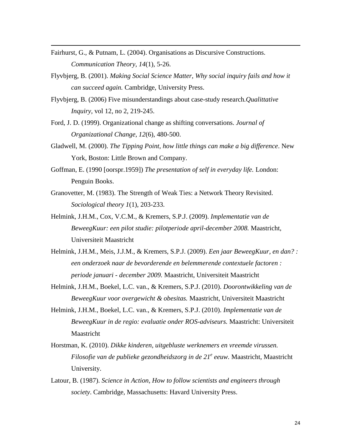Fairhurst, G., & Putnam, L. (2004). Organisations as Discursive Constructions. *Communication Theory, 14*(1), 5-26.

 $\overline{a}$ 

- Flyvbjerg, B. (2001). *Making Social Science Matter, Why social inquiry fails and how it can succeed again.* Cambridge, University Press.
- Flyvbjerg, B. (2006) Five misunderstandings about case-study research*.Qualittative Inquiry,* vol 12, no 2, 219-245.
- Ford, J. D. (1999). Organizational change as shifting conversations. *Journal of Organizational Change, 12*(6), 480-500.
- Gladwell, M. (2000). *The Tipping Point, how little things can make a big difference*. New York, Boston: Little Brown and Company.
- Goffman, E. (1990 [oorspr.1959]) *The presentation of self in everyday life.* London: Penguin Books.
- Granovetter, M. (1983). The Strength of Weak Ties: a Network Theory Revisited. *Sociological theory 1*(1), 203-233.
- Helmink, J.H.M., Cox, V.C.M., & Kremers, S.P.J. (2009). *Implementatie van de BeweegKuur: een pilot studie: pilotperiode april-december 2008.* Maastricht, Universiteit Maastricht
- Helmink, J.H.M., Meis, J.J.M., & Kremers, S.P.J. (2009). *Een jaar BeweegKuur, en dan? : een onderzoek naar de bevorderende en belemmerende contextuele factoren : periode januari - december 2009.* Maastricht, Universiteit Maastricht
- Helmink, J.H.M., Boekel, L.C. van., & Kremers, S.P.J. (2010). *Doorontwikkeling van de BeweegKuur voor overgewicht & obesitas.* Maastricht, Universiteit Maastricht
- Helmink, J.H.M., Boekel, L.C. van., & Kremers, S.P.J. (2010). *Implementatie van de BeweegKuur in de regio: evaluatie onder ROS-adviseurs.* Maastricht: Universiteit Maastricht
- Horstman, K. (2010). *Dikke kinderen, uitgebluste werknemers en vreemde virussen. Filosofie van de publieke gezondheidszorg in de 21<sup>e</sup> eeuw.* Maastricht, Maastricht University.
- Latour, B. (1987). *Science in Action, How to follow scientists and engineers through society*. Cambridge, Massachusetts: Havard University Press.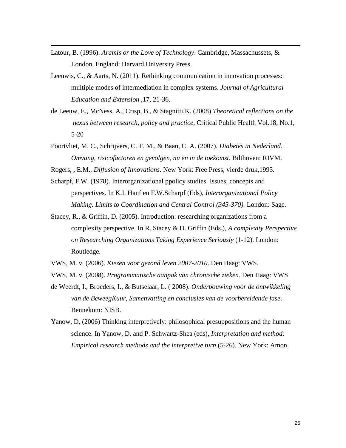Latour, B. (1996). *Aramis or the Love of Technology*. Cambridge, Massachussets, & London, England: Harvard University Press.

 $\overline{a}$ 

- Leeuwis, C., & Aarts, N. (2011). Rethinking communication in innovation processes: multiple modes of intermediation in complex systems. *Journal of Agricultural Education and Extension ,*17, 21-36.
- de Leeuw, E., McNess, A., Crisp, B., & Stagnitti,K. (2008) *Theoretical reflections on the nexus between research, policy and practice*, Critical Public Health Vol.18, No.1, 5-20
- Poortvliet, M. C., Schrijvers, C. T. M., & Baan, C. A. (2007). *Diabetes in Nederland. Omvang, risicofactoren en gevolgen, nu en in de toekomst.* Bilthoven: RIVM.
- Rogers, , E.M., *Diffusion of Innovations*. New York: Free Press, vierde druk,1995.
- Scharpf, F.W. (1978). Interorganizational ppolicy studies. Issues, concepts and perspectives. In K.I. Hanf en F.W.Scharpf (Eds), *Interorganizational Policy Making. Limits to Coordination and Central Control (345-370).* London: Sage.
- Stacey, R., & Griffin, D. (2005). Introduction: researching organizations from a complexity perspective. In R. Stacey & D. Griffin (Eds.), *A complexity Perspective on Researching Organizations Taking Experience Seriously* (1-12). London: Routledge.
- VWS, M. v. (2006). *Kiezen voor gezond leven 2007-2010*. Den Haag: VWS.
- VWS, M. v. (2008). *Programmatische aanpak van chronische zieken.* Den Haag: VWS
- de Weerdt, I., Broeders, I., & Butselaar, L. ( 2008). *Onderbouwing voor de ontwikkeling van de BeweegKuur, Samenvatting en conclusies van de voorbereidende fase*. Bennekom: NISB.
- Yanow, D, (2006) Thinking interpretively: philosophical presuppositions and the human science. In Yanow, D. and P. Schwartz-Shea (eds), *Interpretation and method: Empirical research methods and the interpretive turn* (5-26). New York: Amon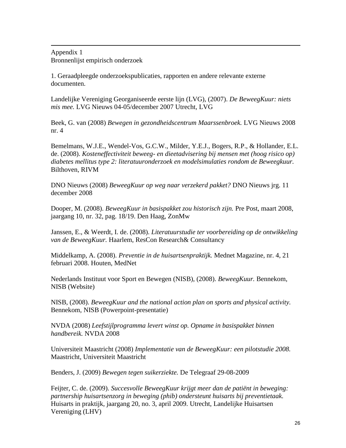Appendix 1 Bronnenlijst empirisch onderzoek

 $\overline{a}$ 

1. Geraadpleegde onderzoekspublicaties, rapporten en andere relevante externe documenten.

Landelijke Vereniging Georganiseerde eerste lijn (LVG), (2007). *De BeweegKuur: niets mis mee.* LVG Nieuws 04-05/december 2007 Utrecht, LVG

Beek, G. van (2008) *Bewegen in gezondheidscentrum Maarssenbroek.* LVG Nieuws 2008 nr. 4

Bemelmans, W.J.E., Wendel-Vos, G.C.W., Milder, Y.E.J., Bogers, R.P., & Hollander, E.L. de. (2008). *Kosteneffectiviteit beweeg- en dieetadvisering bij mensen met (hoog risico op) diabetes mellitus type 2: literatuuronderzoek en modelsimulaties rondom de Beweegkuur.* Bilthoven, RIVM

DNO Nieuws (2008) *BeweegKuur op weg naar verzekerd pakket?* DNO Nieuws jrg. 11 december 2008

Dooper, M. (2008). *BeweegKuur in basispakket zou historisch zijn.* Pre Post, maart 2008, jaargang 10, nr. 32, pag. 18/19. Den Haag, ZonMw

Janssen, E., & Weerdt, I. de. (2008). *Literatuurstudie ter voorbereiding op de ontwikkeling van de BeweegKuur.* Haarlem, ResCon Research& Consultancy

Middelkamp, A. (2008). *Preventie in de huisartsenpraktijk.* Mednet Magazine, nr. 4, 21 februari 2008. Houten, MedNet

Nederlands Instituut voor Sport en Bewegen (NISB), (2008). *BeweegKuur.* Bennekom, NISB (Website)

NISB, (2008). *BeweegKuur and the national action plan on sports and physical activity.* Bennekom, NISB (Powerpoint-presentatie)

NVDA (2008) *Leefstijlprogramma levert winst op. Opname in basispakket binnen handbereik.* NVDA 2008

Universiteit Maastricht (2008) *Implementatie van de BeweegKuur: een pilotstudie 2008.* Maastricht, Universiteit Maastricht

Benders, J. (2009) *Bewegen tegen suikerziekte.* De Telegraaf 29-08-2009

Feijter, C. de. (2009). *Succesvolle BeweegKuur krijgt meer dan de patiënt in beweging: partnership huisartsenzorg in beweging (phib) ondersteunt huisarts bij preventietaak.* Huisarts in praktijk, jaargang 20, no. 3, april 2009. Utrecht, Landelijke Huisartsen Vereniging (LHV)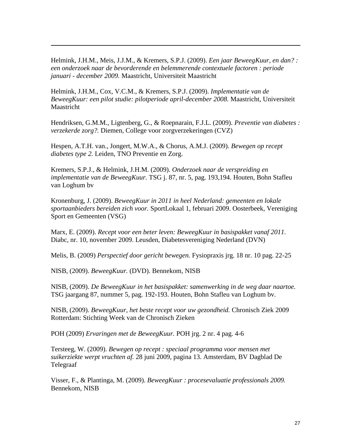Helmink, J.H.M., Meis, J.J.M., & Kremers, S.P.J. (2009). *Een jaar BeweegKuur, en dan? : een onderzoek naar de bevorderende en belemmerende contextuele factoren : periode januari - december 2009.* Maastricht, Universiteit Maastricht

Helmink, J.H.M., Cox, V.C.M., & Kremers, S.P.J. (2009). *Implementatie van de BeweegKuur: een pilot studie: pilotperiode april-december 2008.* Maastricht, Universiteit Maastricht

Hendriksen, G.M.M., Ligtenberg, G., & Roepnarain, F.J.L. (2009). *Preventie van diabetes : verzekerde zorg?.* Diemen, College voor zorgverzekeringen (CVZ)

Hespen, A.T.H. van., Jongert, M.W.A., & Chorus, A.M.J. (2009). *Bewegen op recept diabetes type 2.* Leiden, TNO Preventie en Zorg.

Kremers, S.P.J., & Helmink, J.H.M. (2009). *Onderzoek naar de verspreiding en implementatie van de BeweegKuur.* TSG j. 87, nr. 5, pag. 193,194. Houten, Bohn Stafleu van Loghum bv

Kronenburg, J. (2009). *BeweegKuur in 2011 in heel Nederland: gemeenten en lokale sportaanbieders bereiden zich voor.* SportLokaal 1, februari 2009. Oosterbeek, Vereniging Sport en Gemeenten (VSG)

Marx, E. (2009). *Recept voor een beter leven: BeweegKuur in basispakket vanaf 2011.* Diabc, nr. 10, november 2009. Leusden, Diabetesvereniging Nederland (DVN)

Melis, B. (2009) *Perspectief door gericht bewegen.* Fysiopraxis jrg. 18 nr. 10 pag. 22-25

NISB, (2009). *BeweegKuur.* [\(DVD\). Bennekom, N](http://kic.nisb.nl/site/catalogus/show/11093)ISB

 $\overline{a}$ 

NISB, (2009). *De BeweegKuur in het basispakket: samenwerking in de weg daar naartoe.* TSG jaargang 87, nummer 5, pag. 192-193. Houten, Bohn Stafleu van Loghum bv.

NISB, (2009). *BeweegKuur, het beste recept voor uw gezondheid.* Chronisch Ziek 2009 Rotterdam: Stichting Week van de Chronisch Zieken

POH (2009) *Ervaringen met de BeweegKuur.* POH jrg. 2 nr. 4 pag. 4-6

Tersteeg, W. (2009). *Bewegen op recept : speciaal programma voor mensen met suikerziekte werpt vruchten af.* 28 juni 2009, pagina 13. Amsterdam, BV Dagblad De Telegraaf

Visser, F., & Plantinga, M. (2009). *BeweegKuur : procesevaluatie professionals 2009.*  Bennekom, NISB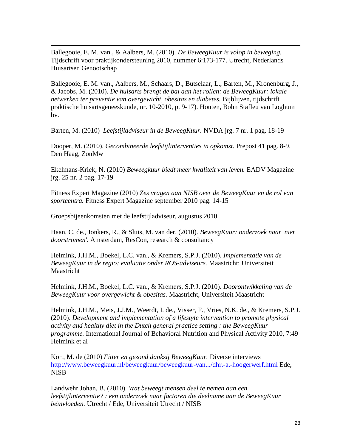Ballegooie, E. M. van., & Aalbers, M. (2010). *De BeweegKuur is volop in beweging.* Tijdschrift voor praktijkondersteuning 2010, nummer 6:173-177. Utrecht, Nederlands Huisartsen Genootschap

Ballegooie, E. M. van., Aalbers, M., Schaars, D., Butselaar, L., Barten, M., Kronenburg, J., & Jacobs, M. (2010). *De huisarts brengt de bal aan het rollen: de BeweegKuur: lokale netwerken ter preventie van overgewicht, obesitas en diabetes.* Bijblijven, tijdschrift praktische huisartsgeneeskunde, nr. 10-2010, p. 9-17). Houten, Bohn Stafleu van Loghum bv.

Barten, M. (2010) *Leefstijladviseur in de BeweegKuur.* NVDA jrg. 7 nr. 1 pag. 18-19

Dooper, M. (2010). *Gecombineerde leefstijlinterventies in opkomst.* Prepost 41 pag. 8-9. Den Haag, ZonMw

Ekelmans-Kriek, N. (2010) *Beweegkuur biedt meer kwaliteit van leven.* EADV Magazine jrg. 25 nr. 2 pag. 17-19

Fitness Expert Magazine (2010) *Zes vragen aan NISB over de BeweegKuur en de rol van sportcentra.* Fitness Expert Magazine september 2010 pag. 14-15

Groepsbijeenkomsten met de leefstijladviseur, augustus 2010

 $\overline{a}$ 

Haan, C. de., Jonkers, R., & Sluis, M. van der. (2010). *BeweegKuur: onderzoek naar 'niet doorstromen'.* Amsterdam, ResCon, research & consultancy

Helmink, J.H.M., Boekel, L.C. van., & Kremers, S.P.J. (2010). *Implementatie van de BeweegKuur in de regio: evaluatie onder ROS-adviseurs.* Maastricht: Universiteit Maastricht

Helmink, J.H.M., Boekel, L.C. van., & Kremers, S.P.J. (2010). *Doorontwikkeling van de BeweegKuur voor overgewicht & obesitas.* Maastricht, Universiteit Maastricht

Helmink, J.H.M., Meis, J.J.M., Weerdt, I. de., Visser, F., Vries, N.K. de., & Kremers, S.P.J. (2010). *Development and implementation of a lifestyle intervention to promote physical activity and healthy diet in the Dutch general practice setting : the BeweegKuur programme.* International Journal of Behavioral Nutrition and Physical Activity 2010, 7:49 Helmink et al

Kort, M. de (2010) *Fitter en gezond dankzij BeweegKuur.* Diverse interviews <http://www.beweegkuur.nl/beweegkuur/beweegkuur-van.../dhr.-a.-hoogerwerf.html> Ede, NISB

Landwehr Johan, B. (2010). *Wat beweegt mensen deel te nemen aan een leefstijlinterventie? : een onderzoek naar factoren die deelname aan de BeweegKuur beïnvloeden.* Utrecht / Ede, Universiteit Utrecht / NISB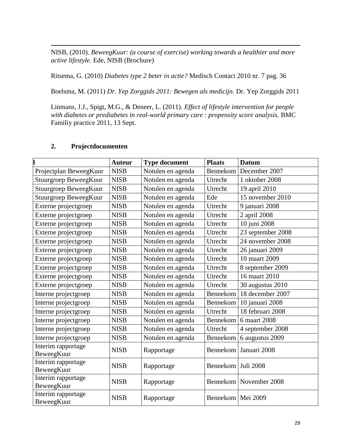NISB, (2010). *BeweegKuur: (a course of exercise) working towards a healthier and more active lifestyle.* Ede, NISB (Brochure)

Ritsema, G. (2010) *Diabetes type 2 beter in actie?* Medisch Contact 2010 nr. 7 pag. 36

Boelsma, M. (2011) *Dr. Yep Zorggids 2011: Bewegen als medicijn.* Dr. Yep Zorggids 2011

Linmans, J.J., Spigt, M.G., & Deneer, L. (2011). *Effect of lifestyle intervention for people with diabetes or prediabetes in real-world primary care : propensity score analysis.* BMC Familiy practice 2011, 13 Sept.

## **2. Projectdocumenten**

 $\overline{a}$ 

|                                  | <b>Auteur</b> | <b>Type document</b> | <b>Plaats</b>       | <b>Datum</b>             |
|----------------------------------|---------------|----------------------|---------------------|--------------------------|
| Projectplan BeweegKuur           | <b>NISB</b>   | Notulen en agenda    | Bennekom            | December 2007            |
| Stuurgroep BeweegKuur            | <b>NISB</b>   | Notulen en agenda    | Utrecht             | 1 oktober 2008           |
| Stuurgroep BeweegKuur            | <b>NISB</b>   | Notulen en agenda    | Utrecht             | 19 april 2010            |
| Stuurgroep BeweegKuur            | <b>NISB</b>   | Notulen en agenda    | Ede                 | 15 november 2010         |
| Externe projectgroep             | <b>NISB</b>   | Notulen en agenda    | Utrecht             | 9 januari 2008           |
| Externe projectgroep             | <b>NISB</b>   | Notulen en agenda    | Utrecht             | 2 april 2008             |
| Externe projectgroep             | <b>NISB</b>   | Notulen en agenda    | Utrecht             | 10 juni 2008             |
| Externe projectgroep             | <b>NISB</b>   | Notulen en agenda    | Utrecht             | 23 september 2008        |
| Externe projectgroep             | <b>NISB</b>   | Notulen en agenda    | Utrecht             | 24 november 2008         |
| Externe projectgroep             | <b>NISB</b>   | Notulen en agenda    | Utrecht             | 26 januari 2009          |
| Externe projectgroep             | <b>NISB</b>   | Notulen en agenda    | Utrecht             | 10 maart 2009            |
| Externe projectgroep             | <b>NISB</b>   | Notulen en agenda    | Utrecht             | 8 september 2009         |
| Externe projectgroep             | <b>NISB</b>   | Notulen en agenda    | Utrecht             | 16 maart 2010            |
| Externe projectgroep             | <b>NISB</b>   | Notulen en agenda    | Utrecht             | 30 augustus 2010         |
| Interne projectgroep             | <b>NISB</b>   | Notulen en agenda    | Bennekom            | 18 december 2007         |
| Interne projectgroep             | <b>NISB</b>   | Notulen en agenda    | Bennekom            | 10 januari 2008          |
| Interne projectgroep             | <b>NISB</b>   | Notulen en agenda    | Utrecht             | 18 februari 2008         |
| Interne projectgroep             | <b>NISB</b>   | Notulen en agenda    | Bennekom            | 6 maart 2008             |
| Interne projectgroep             | <b>NISB</b>   | Notulen en agenda    | Utrecht             | 4 september 2008         |
| Interne projectgroep             | <b>NISB</b>   | Notulen en agenda    | Bennekom            | 6 augustus 2009          |
| Interim rapportage<br>BeweegKuur | <b>NISB</b>   | Rapportage           | Bennekom            | Januari 2008             |
| Interim rapportage<br>BeweegKuur | <b>NISB</b>   | Rapportage           | Bennekom            | Juli 2008                |
| Interim rapportage<br>BeweegKuur | <b>NISB</b>   | Rapportage           |                     | Bennekom   November 2008 |
| Interim rapportage<br>BeweegKuur | <b>NISB</b>   | Rapportage           | Bennekom   Mei 2009 |                          |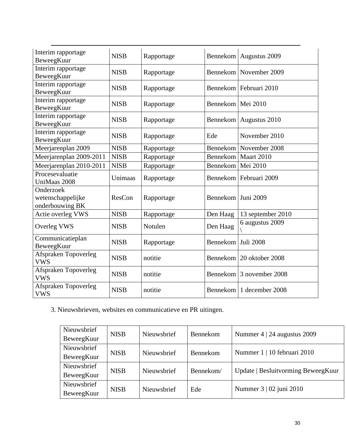| Interim rapportage<br>BeweegKuur                  | <b>NISB</b> | Rapportage |                      | Bennekom   Augustus 2009   |
|---------------------------------------------------|-------------|------------|----------------------|----------------------------|
| Interim rapportage<br>BeweegKuur                  | <b>NISB</b> | Rapportage |                      | Bennekom   November 2009   |
| Interim rapportage<br>BeweegKuur                  | <b>NISB</b> | Rapportage |                      | Bennekom   Februari 2010   |
| Interim rapportage<br>BeweegKuur                  | <b>NISB</b> | Rapportage | Bennekom   Mei 2010  |                            |
| Interim rapportage<br>BeweegKuur                  | <b>NISB</b> | Rapportage |                      | Bennekom   Augustus 2010   |
| Interim rapportage<br>BeweegKuur                  | <b>NISB</b> | Rapportage | Ede                  | November 2010              |
| Meerjarenplan 2009                                | <b>NISB</b> | Rapportage |                      | Bennekom   November 2008   |
| Meerjarenplan 2009-2011                           | <b>NISB</b> | Rapportage | Bennekom             | Maart 2010                 |
| Meerjarenplan 2010-2011                           | <b>NISB</b> | Rapportage | Bennekom             | Mei 2010                   |
| Procesevaluatie<br>UniMaas 2008                   | Unimaas     | Rapportage |                      | Bennekom   Februari 2009   |
| Onderzoek<br>wetenschappelijke<br>onderbouwing BK | ResCon      | Rapportage | Bennekom   Juni 2009 |                            |
| Actie overleg VWS                                 | <b>NISB</b> | Rapportage | Den Haag             | 13 september 2010          |
| <b>Overleg VWS</b>                                | <b>NISB</b> | Notulen    | Den Haag             | 6 augustus 2009            |
| Communicatieplan<br>BeweegKuur                    | <b>NISB</b> | Rapportage | Bennekom   Juli 2008 |                            |
| Afspraken Topoverleg<br><b>VWS</b>                | <b>NISB</b> | notitie    |                      | Bennekom   20 oktober 2008 |
| Afspraken Topoverleg                              |             | notitie    |                      | Bennekom 3 november 2008   |
| <b>VWS</b>                                        | <b>NISB</b> |            |                      |                            |

3. Nieuwsbrieven, websites en communicatieve en PR uitingen.

| Nieuwsbrief | <b>NISB</b> | Nieuwsbrief | <b>Bennekom</b> | Nummer 4   24 augustus 2009        |  |
|-------------|-------------|-------------|-----------------|------------------------------------|--|
| BeweegKuur  |             |             |                 |                                    |  |
| Nieuwsbrief | <b>NISB</b> | Nieuwsbrief | Bennekom        | Nummer 1   10 februari 2010        |  |
| BeweegKuur  |             |             |                 |                                    |  |
| Nieuwsbrief | <b>NISB</b> | Nieuwsbrief | Bennekom/       | Update   Besluitvorming BeweegKuur |  |
| BeweegKuur  |             |             |                 |                                    |  |
| Nieuwsbrief | <b>NISB</b> | Nieuwsbrief | Ede             | Nummer 3   02 juni 2010            |  |
| BeweegKuur  |             |             |                 |                                    |  |